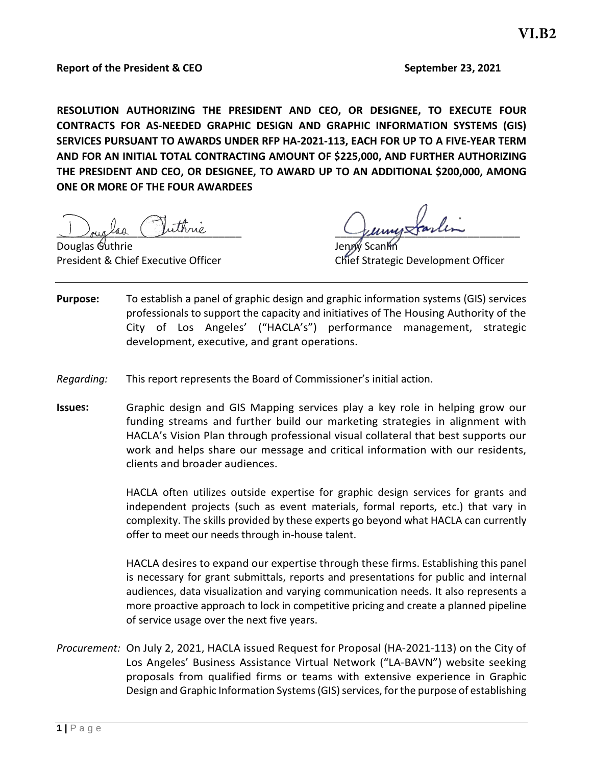**RESOLUTION AUTHORIZING THE PRESIDENT AND CEO, OR DESIGNEE, TO EXECUTE FOUR CONTRACTS FOR AS-NEEDED GRAPHIC DESIGN AND GRAPHIC INFORMATION SYSTEMS (GIS) SERVICES PURSUANT TO AWARDS UNDER RFP HA-2021-113, EACH FOR UP TO A FIVE-YEAR TERM AND FOR AN INITIAL TOTAL CONTRACTING AMOUNT OF \$225,000, AND FURTHER AUTHORIZING THE PRESIDENT AND CEO, OR DESIGNEE, TO AWARD UP TO AN ADDITIONAL \$200,000, AMONG ONE OR MORE OF THE FOUR AWARDEES** 

Juin Guinne Guinne

Douglas Guthrie

President & Chief Executive Officer Chief Strategic Development Officer

- **Purpose:** To establish a panel of graphic design and graphic information systems (GIS) services professionals to support the capacity and initiatives of The Housing Authority of the City of Los Angeles' ("HACLA's") performance management, strategic development, executive, and grant operations.
- *Regarding:* This report represents the Board of Commissioner's initial action.
- **Issues:** Graphic design and GIS Mapping services play a key role in helping grow our funding streams and further build our marketing strategies in alignment with HACLA's Vision Plan through professional visual collateral that best supports our work and helps share our message and critical information with our residents, clients and broader audiences.

HACLA often utilizes outside expertise for graphic design services for grants and independent projects (such as event materials, formal reports, etc.) that vary in complexity. The skills provided by these experts go beyond what HACLA can currently offer to meet our needs through in-house talent.

HACLA desires to expand our expertise through these firms. Establishing this panel is necessary for grant submittals, reports and presentations for public and internal audiences, data visualization and varying communication needs. It also represents a more proactive approach to lock in competitive pricing and create a planned pipeline of service usage over the next five years.

*Procurement:* On July 2, 2021, HACLA issued Request for Proposal (HA-2021-113) on the City of Los Angeles' Business Assistance Virtual Network ("LA-BAVN") website seeking proposals from qualified firms or teams with extensive experience in Graphic Design and Graphic Information Systems (GIS) services, for the purpose of establishing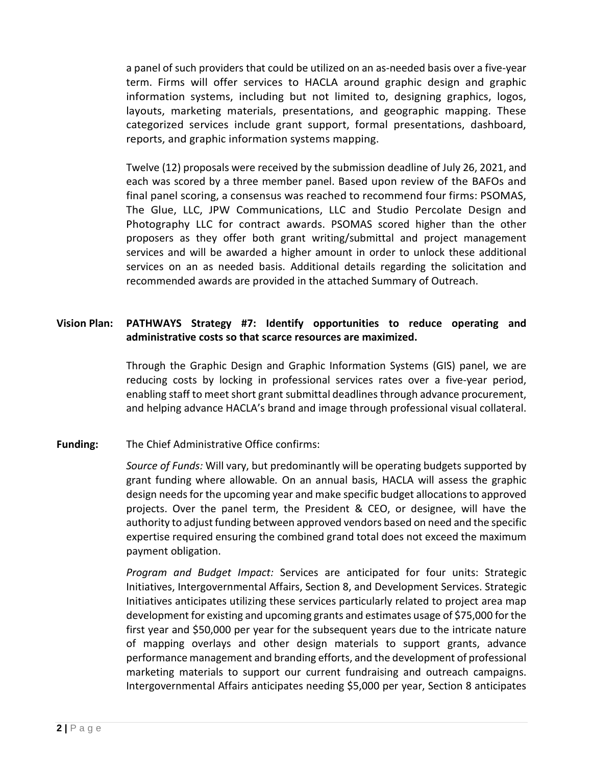a panel of such providers that could be utilized on an as-needed basis over a five-year term. Firms will offer services to HACLA around graphic design and graphic information systems, including but not limited to, designing graphics, logos, layouts, marketing materials, presentations, and geographic mapping. These categorized services include grant support, formal presentations, dashboard, reports, and graphic information systems mapping.

Twelve (12) proposals were received by the submission deadline of July 26, 2021, and each was scored by a three member panel. Based upon review of the BAFOs and final panel scoring, a consensus was reached to recommend four firms: PSOMAS, The Glue, LLC, JPW Communications, LLC and Studio Percolate Design and Photography LLC for contract awards. PSOMAS scored higher than the other proposers as they offer both grant writing/submittal and project management services and will be awarded a higher amount in order to unlock these additional services on an as needed basis. Additional details regarding the solicitation and recommended awards are provided in the attached Summary of Outreach.

### **Vision Plan: PATHWAYS Strategy #7: Identify opportunities to reduce operating and administrative costs so that scarce resources are maximized.**

Through the Graphic Design and Graphic Information Systems (GIS) panel, we are reducing costs by locking in professional services rates over a five-year period, enabling staff to meet short grant submittal deadlines through advance procurement, and helping advance HACLA's brand and image through professional visual collateral.

#### **Funding:** The Chief Administrative Office confirms:

*Source of Funds:* Will vary, but predominantly will be operating budgets supported by grant funding where allowable*.* On an annual basis, HACLA will assess the graphic design needs for the upcoming year and make specific budget allocationsto approved projects. Over the panel term, the President & CEO, or designee, will have the authority to adjust funding between approved vendors based on need and the specific expertise required ensuring the combined grand total does not exceed the maximum payment obligation.

*Program and Budget Impact:* Services are anticipated for four units: Strategic Initiatives, Intergovernmental Affairs, Section 8, and Development Services. Strategic Initiatives anticipates utilizing these services particularly related to project area map development for existing and upcoming grants and estimates usage of \$75,000 for the first year and \$50,000 per year for the subsequent years due to the intricate nature of mapping overlays and other design materials to support grants, advance performance management and branding efforts, and the development of professional marketing materials to support our current fundraising and outreach campaigns. Intergovernmental Affairs anticipates needing \$5,000 per year, Section 8 anticipates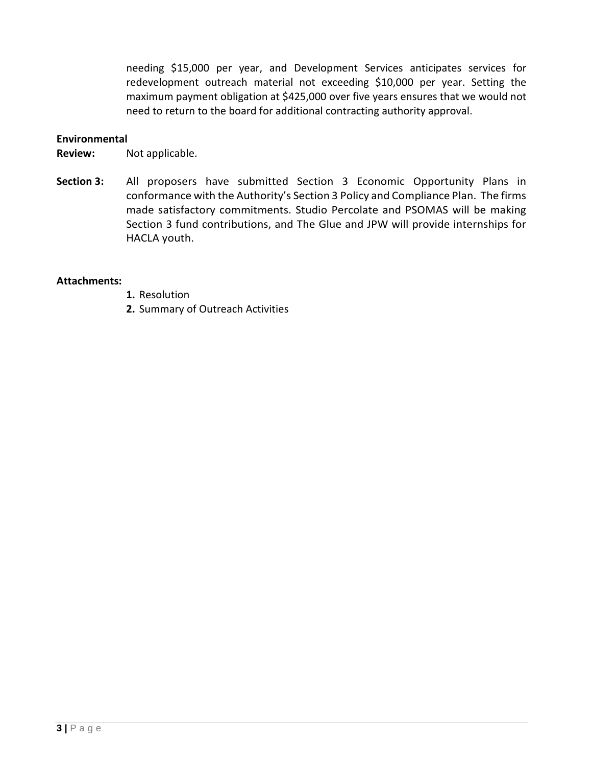needing \$15,000 per year, and Development Services anticipates services for redevelopment outreach material not exceeding \$10,000 per year. Setting the maximum payment obligation at \$425,000 over five years ensures that we would not need to return to the board for additional contracting authority approval.

#### **Environmental**

**Review:** Not applicable.

**Section 3:** All proposers have submitted Section 3 Economic Opportunity Plans in conformance with the Authority's Section 3 Policy and Compliance Plan. The firms made satisfactory commitments. Studio Percolate and PSOMAS will be making Section 3 fund contributions, and The Glue and JPW will provide internships for HACLA youth.

#### **Attachments:**

- **1.** Resolution
- **2.** Summary of Outreach Activities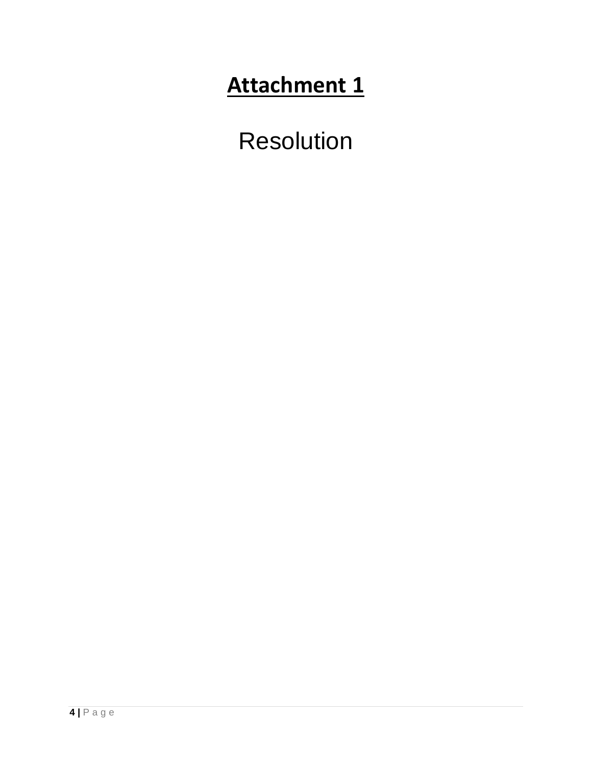# **Attachment 1**

Resolution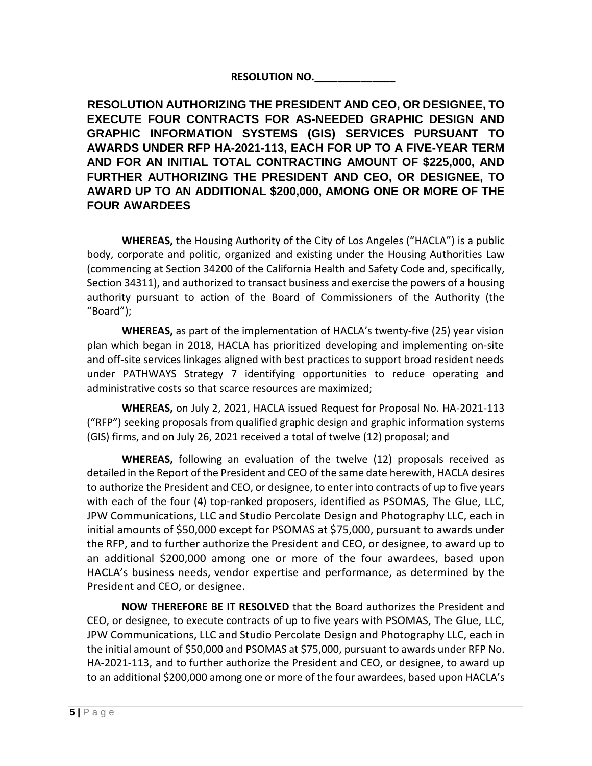## **RESOLUTION NO.\_\_\_\_\_\_\_\_\_\_\_\_\_\_**

**RESOLUTION AUTHORIZING THE PRESIDENT AND CEO, OR DESIGNEE, TO EXECUTE FOUR CONTRACTS FOR AS-NEEDED GRAPHIC DESIGN AND GRAPHIC INFORMATION SYSTEMS (GIS) SERVICES PURSUANT TO AWARDS UNDER RFP HA-2021-113, EACH FOR UP TO A FIVE-YEAR TERM AND FOR AN INITIAL TOTAL CONTRACTING AMOUNT OF \$225,000, AND FURTHER AUTHORIZING THE PRESIDENT AND CEO, OR DESIGNEE, TO AWARD UP TO AN ADDITIONAL \$200,000, AMONG ONE OR MORE OF THE FOUR AWARDEES** 

**WHEREAS,** the Housing Authority of the City of Los Angeles ("HACLA") is a public body, corporate and politic, organized and existing under the Housing Authorities Law (commencing at Section 34200 of the California Health and Safety Code and, specifically, Section 34311), and authorized to transact business and exercise the powers of a housing authority pursuant to action of the Board of Commissioners of the Authority (the "Board");

**WHEREAS,** as part of the implementation of HACLA's twenty-five (25) year vision plan which began in 2018, HACLA has prioritized developing and implementing on-site and off-site services linkages aligned with best practices to support broad resident needs under PATHWAYS Strategy 7 identifying opportunities to reduce operating and administrative costs so that scarce resources are maximized;

**WHEREAS,** on July 2, 2021, HACLA issued Request for Proposal No. HA-2021-113 ("RFP") seeking proposals from qualified graphic design and graphic information systems (GIS) firms, and on July 26, 2021 received a total of twelve (12) proposal; and

**WHEREAS,** following an evaluation of the twelve (12) proposals received as detailed in the Report of the President and CEO of the same date herewith, HACLA desires to authorize the President and CEO, or designee, to enter into contracts of up to five years with each of the four (4) top-ranked proposers, identified as PSOMAS, The Glue, LLC, JPW Communications, LLC and Studio Percolate Design and Photography LLC, each in initial amounts of \$50,000 except for PSOMAS at \$75,000, pursuant to awards under the RFP, and to further authorize the President and CEO, or designee, to award up to an additional \$200,000 among one or more of the four awardees, based upon HACLA's business needs, vendor expertise and performance, as determined by the President and CEO, or designee.

**NOW THEREFORE BE IT RESOLVED** that the Board authorizes the President and CEO, or designee, to execute contracts of up to five years with PSOMAS, The Glue, LLC, JPW Communications, LLC and Studio Percolate Design and Photography LLC, each in the initial amount of \$50,000 and PSOMAS at \$75,000, pursuant to awards under RFP No. HA-2021-113, and to further authorize the President and CEO, or designee, to award up to an additional \$200,000 among one or more of the four awardees, based upon HACLA's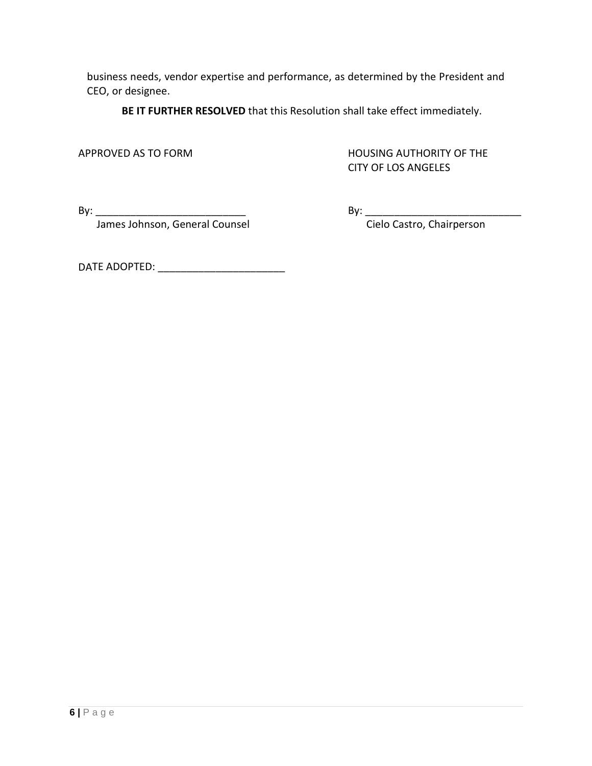business needs, vendor expertise and performance, as determined by the President and CEO, or designee.

**BE IT FURTHER RESOLVED** that this Resolution shall take effect immediately.

APPROVED AS TO FORM HOUSING AUTHORITY OF THE CITY OF LOS ANGELES

By: \_\_\_\_\_\_\_\_\_\_\_\_\_\_\_\_\_\_\_\_\_\_\_\_\_\_ By: \_\_\_\_\_\_\_\_\_\_\_\_\_\_\_\_\_\_\_\_\_\_\_\_\_\_\_

James Johnson, General Counsel Conserved Cielo Castro, Chairperson

DATE ADOPTED: \_\_\_\_\_\_\_\_\_\_\_\_\_\_\_\_\_\_\_\_\_\_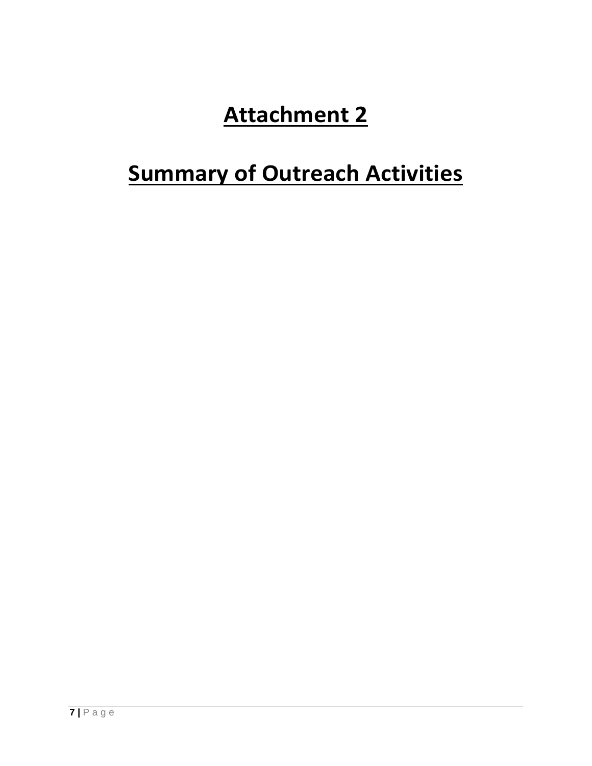# **Attachment 2**

# **Summary of Outreach Activities**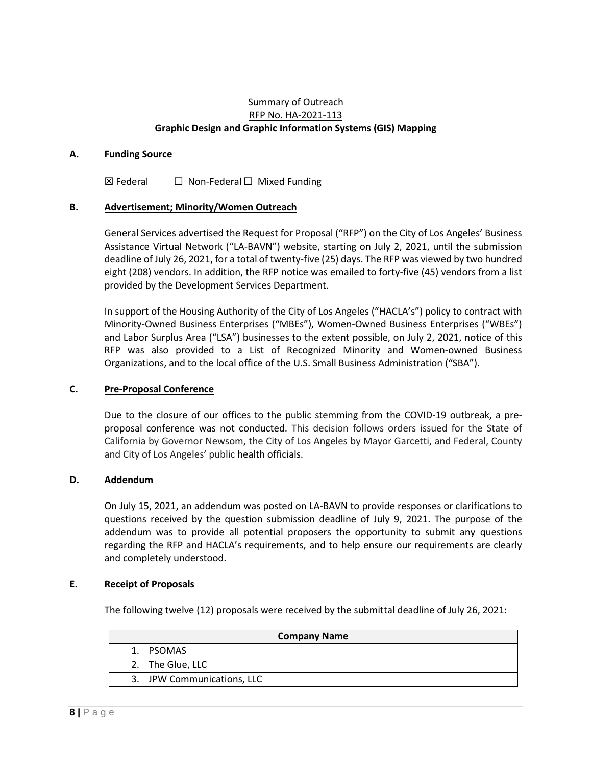#### Summary of Outreach RFP No. HA-2021-113 **Graphic Design and Graphic Information Systems (GIS) Mapping**

#### **A. Funding Source**

 $\boxtimes$  Federal  $\Box$  Non-Federal  $\Box$  Mixed Funding

#### **B. Advertisement; Minority/Women Outreach**

General Services advertised the Request for Proposal ("RFP") on the City of Los Angeles' Business Assistance Virtual Network ("LA-BAVN") website, starting on July 2, 2021, until the submission deadline of July 26, 2021, for a total of twenty-five (25) days. The RFP was viewed by two hundred eight (208) vendors. In addition, the RFP notice was emailed to forty-five (45) vendors from a list provided by the Development Services Department.

In support of the Housing Authority of the City of Los Angeles ("HACLA's") policy to contract with Minority-Owned Business Enterprises ("MBEs"), Women-Owned Business Enterprises ("WBEs") and Labor Surplus Area ("LSA") businesses to the extent possible, on July 2, 2021, notice of this RFP was also provided to a List of Recognized Minority and Women-owned Business Organizations, and to the local office of the U.S. Small Business Administration ("SBA").

#### **C. Pre-Proposal Conference**

Due to the closure of our offices to the public stemming from the COVID-19 outbreak, a preproposal conference was not conducted. This decision follows orders issued for the State of California by Governor Newsom, the City of Los Angeles by Mayor Garcetti, and Federal, County and City of Los Angeles' public health officials.

#### **D. Addendum**

On July 15, 2021, an addendum was posted on LA-BAVN to provide responses or clarifications to questions received by the question submission deadline of July 9, 2021. The purpose of the addendum was to provide all potential proposers the opportunity to submit any questions regarding the RFP and HACLA's requirements, and to help ensure our requirements are clearly and completely understood.

#### **E. Receipt of Proposals**

The following twelve (12) proposals were received by the submittal deadline of July 26, 2021:

| <b>Company Name</b>        |
|----------------------------|
| 1. PSOMAS                  |
| 2. The Glue, LLC           |
| 3. JPW Communications, LLC |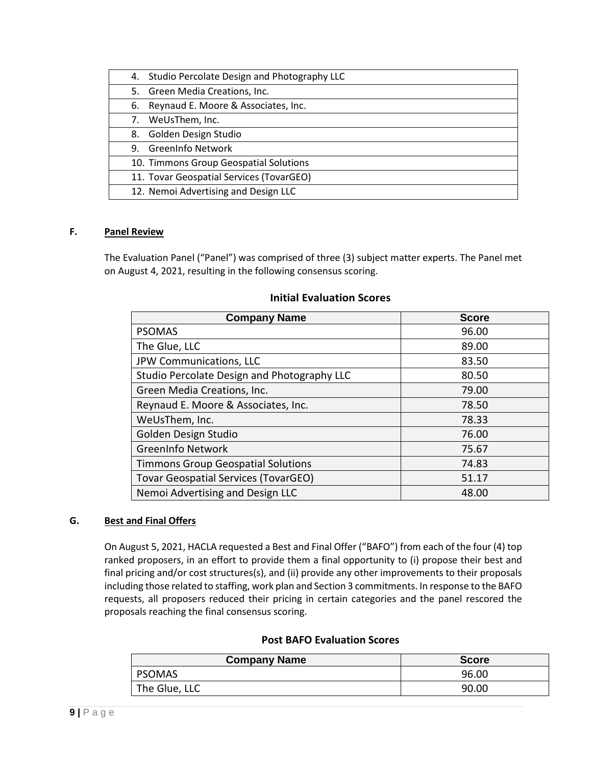|    | 4. Studio Percolate Design and Photography LLC |
|----|------------------------------------------------|
|    | 5. Green Media Creations, Inc.                 |
|    | 6. Reynaud E. Moore & Associates, Inc.         |
| 7. | WeUsThem, Inc.                                 |
| 8. | Golden Design Studio                           |
| 9. | <b>GreenInfo Network</b>                       |
|    | 10. Timmons Group Geospatial Solutions         |
|    | 11. Tovar Geospatial Services (TovarGEO)       |
|    | 12. Nemoi Advertising and Design LLC           |

#### **F. Panel Review**

The Evaluation Panel ("Panel") was comprised of three (3) subject matter experts. The Panel met on August 4, 2021, resulting in the following consensus scoring.

#### **Initial Evaluation Scores**

| <b>Company Name</b>                         | <b>Score</b> |
|---------------------------------------------|--------------|
| <b>PSOMAS</b>                               | 96.00        |
| The Glue, LLC                               | 89.00        |
| JPW Communications, LLC                     | 83.50        |
| Studio Percolate Design and Photography LLC | 80.50        |
| Green Media Creations, Inc.                 | 79.00        |
| Reynaud E. Moore & Associates, Inc.         | 78.50        |
| WeUsThem, Inc.                              | 78.33        |
| Golden Design Studio                        | 76.00        |
| <b>GreenInfo Network</b>                    | 75.67        |
| <b>Timmons Group Geospatial Solutions</b>   | 74.83        |
| <b>Tovar Geospatial Services (TovarGEO)</b> | 51.17        |
| Nemoi Advertising and Design LLC            | 48.00        |

#### **G. Best and Final Offers**

On August 5, 2021, HACLA requested a Best and Final Offer ("BAFO") from each of the four (4) top ranked proposers, in an effort to provide them a final opportunity to (i) propose their best and final pricing and/or cost structures(s), and (ii) provide any other improvements to their proposals including those related to staffing, work plan and Section 3 commitments. In response to the BAFO requests, all proposers reduced their pricing in certain categories and the panel rescored the proposals reaching the final consensus scoring.

### **Post BAFO Evaluation Scores**

| <b>Company Name</b> | <b>Score</b> |
|---------------------|--------------|
| <b>PSOMAS</b>       | 96.00        |
| The Glue, LLC       | 90.00        |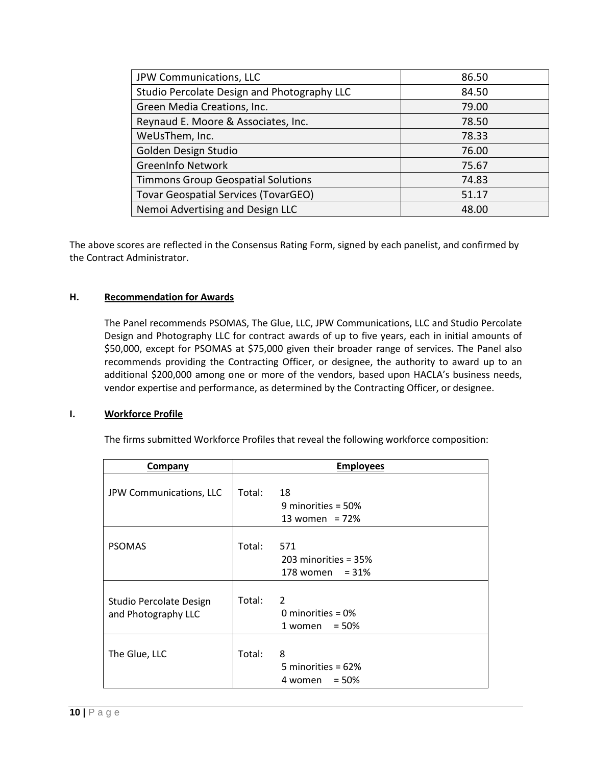| JPW Communications, LLC                     | 86.50 |
|---------------------------------------------|-------|
| Studio Percolate Design and Photography LLC | 84.50 |
| Green Media Creations, Inc.                 | 79.00 |
| Reynaud E. Moore & Associates, Inc.         | 78.50 |
| WeUsThem, Inc.                              | 78.33 |
| Golden Design Studio                        | 76.00 |
| <b>GreenInfo Network</b>                    | 75.67 |
| <b>Timmons Group Geospatial Solutions</b>   | 74.83 |
| Tovar Geospatial Services (TovarGEO)        | 51.17 |
| Nemoi Advertising and Design LLC            | 48.00 |

The above scores are reflected in the Consensus Rating Form, signed by each panelist, and confirmed by the Contract Administrator.

#### **H. Recommendation for Awards**

The Panel recommends PSOMAS, The Glue, LLC, JPW Communications, LLC and Studio Percolate Design and Photography LLC for contract awards of up to five years, each in initial amounts of \$50,000, except for PSOMAS at \$75,000 given their broader range of services. The Panel also recommends providing the Contracting Officer, or designee, the authority to award up to an additional \$200,000 among one or more of the vendors, based upon HACLA's business needs, vendor expertise and performance, as determined by the Contracting Officer, or designee.

#### **I. Workforce Profile**

The firms submitted Workforce Profiles that reveal the following workforce composition:

| <b>Company</b>                                 | <b>Employees</b> |                                                       |  |
|------------------------------------------------|------------------|-------------------------------------------------------|--|
| JPW Communications, LLC                        | Total:           | 18<br>9 minorities = $50\%$<br>13 women = $72%$       |  |
| <b>PSOMAS</b>                                  | Total:           | 571<br>$203$ minorities = $35%$<br>178 women = $31\%$ |  |
| Studio Percolate Design<br>and Photography LLC | Total:           | 2<br>0 minorities = $0\%$<br>$1$ women = 50%          |  |
| The Glue, LLC                                  | Total:           | 8<br>5 minorities = $62\%$<br>$= 50%$<br>4 women      |  |